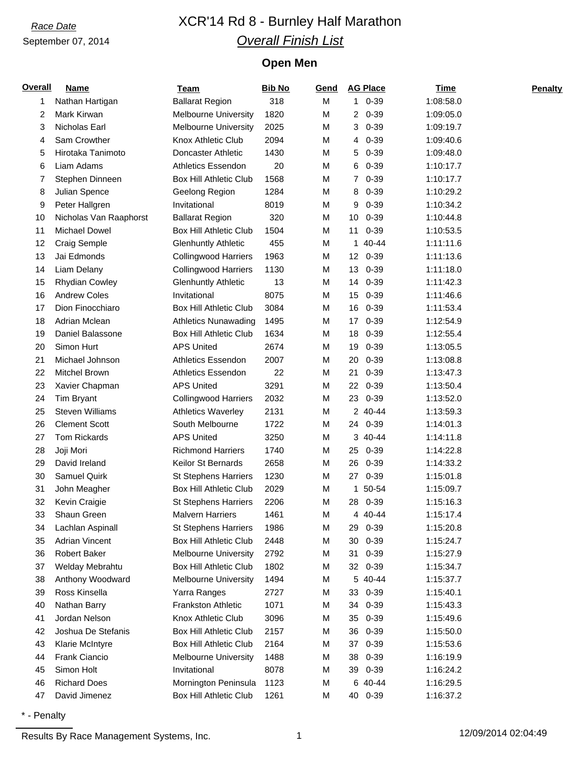# *Race Date* XCR'14 Rd 8 - Burnley Half Marathon *Overall Finish List*

## **Open Men**

| Overall  | <b>Name</b>                       | <b>Team</b>                               | <b>Bib No</b> | Gend   | <b>AG Place</b>             | Time                   | <b>Penalty</b> |
|----------|-----------------------------------|-------------------------------------------|---------------|--------|-----------------------------|------------------------|----------------|
| 1        | Nathan Hartigan                   | <b>Ballarat Region</b>                    | 318           | M      | 1 0-39                      | 1:08:58.0              |                |
| 2        | Mark Kirwan                       | <b>Melbourne University</b>               | 1820          | M      | 2 0-39                      | 1:09:05.0              |                |
| 3        | Nicholas Earl                     | <b>Melbourne University</b>               | 2025          | M      | 3<br>$0 - 39$               | 1:09:19.7              |                |
| 4        | Sam Crowther                      | Knox Athletic Club                        | 2094          | M      | $0 - 39$<br>4               | 1:09:40.6              |                |
| 5        | Hirotaka Tanimoto                 | Doncaster Athletic                        | 1430          | M      | $0 - 39$<br>5               | 1:09:48.0              |                |
| 6        | Liam Adams                        | <b>Athletics Essendon</b>                 | 20            | M      | $0 - 39$<br>6               | 1:10:17.7              |                |
| 7        | Stephen Dinneen                   | <b>Box Hill Athletic Club</b>             | 1568          | M      | $0 - 39$<br>$\overline{7}$  | 1:10:17.7              |                |
| 8        | Julian Spence                     | Geelong Region                            | 1284          | M      | 8<br>$0 - 39$               | 1:10:29.2              |                |
| 9        | Peter Hallgren                    | Invitational                              | 8019          | M      | $0 - 39$<br>9               | 1:10:34.2              |                |
| 10       | Nicholas Van Raaphorst            | <b>Ballarat Region</b>                    | 320           | M      | 0-39<br>10                  | 1:10:44.8              |                |
| 11       | <b>Michael Dowel</b>              | <b>Box Hill Athletic Club</b>             | 1504          | M      | 11<br>$0 - 39$              | 1:10:53.5              |                |
| 12       | Craig Semple                      | <b>Glenhuntly Athletic</b>                | 455           | M      | 40-44<br>1.                 | 1:11:11.6              |                |
| 13       | Jai Edmonds                       | <b>Collingwood Harriers</b>               | 1963          | M      | $0 - 39$<br>12 <sub>2</sub> | 1:11:13.6              |                |
| 14       | Liam Delany                       | <b>Collingwood Harriers</b>               | 1130          | M      | $0 - 39$<br>13              | 1:11:18.0              |                |
| 15       | <b>Rhydian Cowley</b>             | <b>Glenhuntly Athletic</b>                | 13            | M      | 14<br>$0 - 39$              | 1:11:42.3              |                |
| 16       | <b>Andrew Coles</b>               | Invitational                              | 8075          | M      | 15<br>$0 - 39$              | 1:11:46.6              |                |
| 17       | Dion Finocchiaro                  | <b>Box Hill Athletic Club</b>             | 3084          | M      | 16<br>$0 - 39$              | 1:11:53.4              |                |
| 18       | Adrian Mclean                     | <b>Athletics Nunawading</b>               | 1495          | М      | 17<br>0-39                  | 1:12:54.9              |                |
| 19       | Daniel Balassone                  | <b>Box Hill Athletic Club</b>             | 1634          | M      | 18<br>$0 - 39$              | 1:12:55.4              |                |
| 20       | Simon Hurt                        | <b>APS United</b>                         | 2674          | M      | 19<br>$0 - 39$              | 1:13:05.5              |                |
| 21       | Michael Johnson                   | <b>Athletics Essendon</b>                 | 2007          | M      | $0 - 39$<br>20              | 1:13:08.8              |                |
| 22       | Mitchel Brown                     | Athletics Essendon                        | 22            | M      | 21<br>$0 - 39$              | 1:13:47.3              |                |
| 23       | Xavier Chapman                    | <b>APS United</b>                         | 3291          | M      | $0 - 39$<br>22              | 1:13:50.4              |                |
| 24       | Tim Bryant                        | <b>Collingwood Harriers</b>               | 2032          | M      | $0 - 39$<br>23              | 1:13:52.0              |                |
| 25       | <b>Steven Williams</b>            | <b>Athletics Waverley</b>                 | 2131          | M      | 2 40-44                     | 1:13:59.3              |                |
| 26       | <b>Clement Scott</b>              | South Melbourne                           | 1722          | M      | 24 0-39                     | 1:14:01.3              |                |
| 27       | <b>Tom Rickards</b>               | <b>APS United</b>                         | 3250          | M      | 3 40-44                     | 1:14:11.8              |                |
| 28       | Joji Mori                         | <b>Richmond Harriers</b>                  | 1740          | M      | 25<br>$0 - 39$              | 1:14:22.8              |                |
| 29       | David Ireland                     | Keilor St Bernards                        | 2658          | M      | 26<br>$0 - 39$              | 1:14:33.2              |                |
| 30       | Samuel Quirk                      | <b>St Stephens Harriers</b>               | 1230          | М      | 27 0-39                     | 1:15:01.8              |                |
| 31       | John Meagher                      | <b>Box Hill Athletic Club</b>             | 2029          | M      | 50-54<br>1                  | 1:15:09.7              |                |
| 32       | Kevin Craigie                     | <b>St Stephens Harriers</b>               | 2206          | M      | 28 0-39                     | 1:15:16.3              |                |
| 33       | Shaun Green                       | <b>Malvern Harriers</b>                   | 1461          | M      | 4 40-44                     | 1:15:17.4              |                |
| 34       | Lachlan Aspinall                  | <b>St Stephens Harriers</b>               | 1986          | M      | $0 - 39$<br>29              | 1:15:20.8              |                |
| 35       | <b>Adrian Vincent</b>             | <b>Box Hill Athletic Club</b>             | 2448          | M      | $0 - 39$<br>30              | 1:15:24.7              |                |
| 36       | <b>Robert Baker</b>               | <b>Melbourne University</b>               | 2792          | M      | $0 - 39$<br>31              | 1:15:27.9              |                |
| 37       | Welday Mebrahtu                   | <b>Box Hill Athletic Club</b>             | 1802          | M      | 32 0-39                     | 1:15:34.7              |                |
| 38       | Anthony Woodward<br>Ross Kinsella | <b>Melbourne University</b>               | 1494          | M      | 5 40-44                     | 1:15:37.7              |                |
| 39       |                                   | Yarra Ranges<br><b>Frankston Athletic</b> | 2727          | M      | $0 - 39$<br>33<br>$0 - 39$  | 1:15:40.1              |                |
| 40<br>41 | Nathan Barry<br>Jordan Nelson     | Knox Athletic Club                        | 1071<br>3096  | M<br>M | 34<br>$0 - 39$<br>35        | 1:15:43.3<br>1:15:49.6 |                |
| 42       | Joshua De Stefanis                | <b>Box Hill Athletic Club</b>             | 2157          | M      | 36<br>$0 - 39$              | 1:15:50.0              |                |
| 43       | Klarie McIntyre                   | <b>Box Hill Athletic Club</b>             | 2164          | M      | 37<br>$0 - 39$              | 1:15:53.6              |                |
| 44       | Frank Ciancio                     | Melbourne University                      | 1488          | M      | 38<br>$0 - 39$              | 1:16:19.9              |                |
| 45       | Simon Holt                        | Invitational                              | 8078          | M      | $0 - 39$<br>39              | 1:16:24.2              |                |
| 46       | <b>Richard Does</b>               | Mornington Peninsula                      | 1123          | M      | 6 40-44                     | 1:16:29.5              |                |
| 47       | David Jimenez                     | <b>Box Hill Athletic Club</b>             | 1261          | M      | 40 0-39                     | 1:16:37.2              |                |
|          |                                   |                                           |               |        |                             |                        |                |

\* - Penalty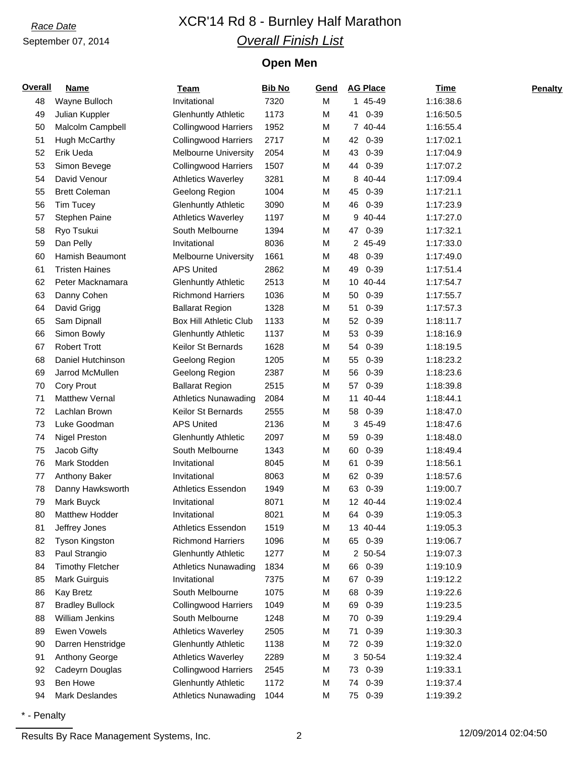# *Race Date* XCR'14 Rd 8 - Burnley Half Marathon *Overall Finish List*

## **Open Men**

| Overall | <b>Name</b>             | Team                          | <b>Bib No</b> | Gend | <b>AG Place</b> | Time      | <b>Penalty</b> |
|---------|-------------------------|-------------------------------|---------------|------|-----------------|-----------|----------------|
| 48      | Wayne Bulloch           | Invitational                  | 7320          | M    | 1 45-49         | 1:16:38.6 |                |
| 49      | Julian Kuppler          | <b>Glenhuntly Athletic</b>    | 1173          | M    | 41 0-39         | 1:16:50.5 |                |
| 50      | Malcolm Campbell        | <b>Collingwood Harriers</b>   | 1952          | M    | 7 40-44         | 1:16:55.4 |                |
| 51      | Hugh McCarthy           | <b>Collingwood Harriers</b>   | 2717          | M    | 42<br>$0 - 39$  | 1:17:02.1 |                |
| 52      | Erik Ueda               | <b>Melbourne University</b>   | 2054          | M    | $0 - 39$<br>43  | 1:17:04.9 |                |
| 53      | Simon Bevege            | <b>Collingwood Harriers</b>   | 1507          | M    | $0 - 39$<br>44  | 1:17:07.2 |                |
| 54      | David Venour            | <b>Athletics Waverley</b>     | 3281          | M    | 8 40-44         | 1:17:09.4 |                |
| 55      | <b>Brett Coleman</b>    | Geelong Region                | 1004          | M    | 45<br>$0 - 39$  | 1:17:21.1 |                |
| 56      | Tim Tucey               | <b>Glenhuntly Athletic</b>    | 3090          | M    | 46<br>0-39      | 1:17:23.9 |                |
| 57      | Stephen Paine           | <b>Athletics Waverley</b>     | 1197          | M    | 40-44<br>9      | 1:17:27.0 |                |
| 58      | Ryo Tsukui              | South Melbourne               | 1394          | M    | 47<br>$0 - 39$  | 1:17:32.1 |                |
| 59      | Dan Pelly               | Invitational                  | 8036          | M    | 2 45-49         | 1:17:33.0 |                |
| 60      | <b>Hamish Beaumont</b>  | <b>Melbourne University</b>   | 1661          | M    | 48<br>$0 - 39$  | 1:17:49.0 |                |
| 61      | <b>Tristen Haines</b>   | <b>APS United</b>             | 2862          | M    | $0 - 39$<br>49  | 1:17:51.4 |                |
| 62      | Peter Macknamara        | <b>Glenhuntly Athletic</b>    | 2513          | M    | 10 40-44        | 1:17:54.7 |                |
| 63      | Danny Cohen             | <b>Richmond Harriers</b>      | 1036          | M    | 50<br>$0 - 39$  | 1:17:55.7 |                |
| 64      | David Grigg             | <b>Ballarat Region</b>        | 1328          | M    | 51<br>$0 - 39$  | 1:17:57.3 |                |
| 65      | Sam Dipnall             | <b>Box Hill Athletic Club</b> | 1133          | M    | $0 - 39$<br>52  | 1:18:11.7 |                |
| 66      | Simon Bowly             | <b>Glenhuntly Athletic</b>    | 1137          | M    | 53<br>$0 - 39$  | 1:18:16.9 |                |
| 67      | <b>Robert Trott</b>     | Keilor St Bernards            | 1628          | M    | 54<br>$0 - 39$  | 1:18:19.5 |                |
| 68      | Daniel Hutchinson       | Geelong Region                | 1205          | M    | 55<br>$0 - 39$  | 1:18:23.2 |                |
| 69      | Jarrod McMullen         | Geelong Region                | 2387          | M    | 56<br>$0 - 39$  | 1:18:23.6 |                |
| 70      | Cory Prout              | <b>Ballarat Region</b>        | 2515          | M    | 57<br>$0 - 39$  | 1:18:39.8 |                |
| 71      | <b>Matthew Vernal</b>   | <b>Athletics Nunawading</b>   | 2084          | M    | 11 40-44        | 1:18:44.1 |                |
| 72      | Lachlan Brown           | Keilor St Bernards            | 2555          | M    | 58<br>0-39      | 1:18:47.0 |                |
| 73      | Luke Goodman            | <b>APS United</b>             | 2136          | M    | 3 45-49         | 1:18:47.6 |                |
| 74      | <b>Nigel Preston</b>    | <b>Glenhuntly Athletic</b>    | 2097          | M    | 59<br>$0 - 39$  | 1:18:48.0 |                |
| 75      | Jacob Gifty             | South Melbourne               | 1343          | M    | 60<br>$0 - 39$  | 1:18:49.4 |                |
| 76      | Mark Stodden            | Invitational                  | 8045          | M    | 61<br>$0 - 39$  | 1:18:56.1 |                |
| 77      | Anthony Baker           | Invitational                  | 8063          | M    | 62<br>$0 - 39$  | 1:18:57.6 |                |
| 78      | Danny Hawksworth        | Athletics Essendon            | 1949          | М    | 63<br>$0 - 39$  | 1:19:00.7 |                |
| 79      | Mark Buyck              | Invitational                  | 8071          | M    | 12 40-44        | 1:19:02.4 |                |
| 80      | Matthew Hodder          | Invitational                  | 8021          | M    | 64 0-39         | 1:19:05.3 |                |
| 81      | Jeffrey Jones           | Athletics Essendon            | 1519          | M    | 13 40-44        | 1:19:05.3 |                |
| 82      | Tyson Kingston          | <b>Richmond Harriers</b>      | 1096          | M    | $0 - 39$<br>65  | 1:19:06.7 |                |
| 83      | Paul Strangio           | <b>Glenhuntly Athletic</b>    | 1277          | M    | 2 50-54         | 1:19:07.3 |                |
| 84      | <b>Timothy Fletcher</b> | <b>Athletics Nunawading</b>   | 1834          | M    | $0 - 39$<br>66  | 1:19:10.9 |                |
| 85      | <b>Mark Guirguis</b>    | Invitational                  | 7375          | M    | $0 - 39$<br>67  | 1:19:12.2 |                |
| 86      | <b>Kay Bretz</b>        | South Melbourne               | 1075          | M    | 68<br>$0 - 39$  | 1:19:22.6 |                |
| 87      | <b>Bradley Bullock</b>  | <b>Collingwood Harriers</b>   | 1049          | M    | $0 - 39$<br>69  | 1:19:23.5 |                |
| 88      | William Jenkins         | South Melbourne               | 1248          | M    | $0 - 39$<br>70  | 1:19:29.4 |                |
| 89      | Ewen Vowels             | <b>Athletics Waverley</b>     | 2505          | M    | $0 - 39$<br>71  | 1:19:30.3 |                |
| 90      | Darren Henstridge       | <b>Glenhuntly Athletic</b>    | 1138          | M    | $0 - 39$<br>72  | 1:19:32.0 |                |
| 91      | Anthony George          | <b>Athletics Waverley</b>     | 2289          | M    | 3 50-54         | 1:19:32.4 |                |
| 92      | Cadeyrn Douglas         | <b>Collingwood Harriers</b>   | 2545          | M    | $0 - 39$<br>73  | 1:19:33.1 |                |
| 93      | Ben Howe                | <b>Glenhuntly Athletic</b>    | 1172          | M    | $0 - 39$<br>74  | 1:19:37.4 |                |
| 94      | Mark Deslandes          | <b>Athletics Nunawading</b>   | 1044          | М    | $0 - 39$<br>75  | 1:19:39.2 |                |
|         |                         |                               |               |      |                 |           |                |

\* - Penalty

Results By Race Management Systems, Inc. 2 2 12/09/2014 02:04:50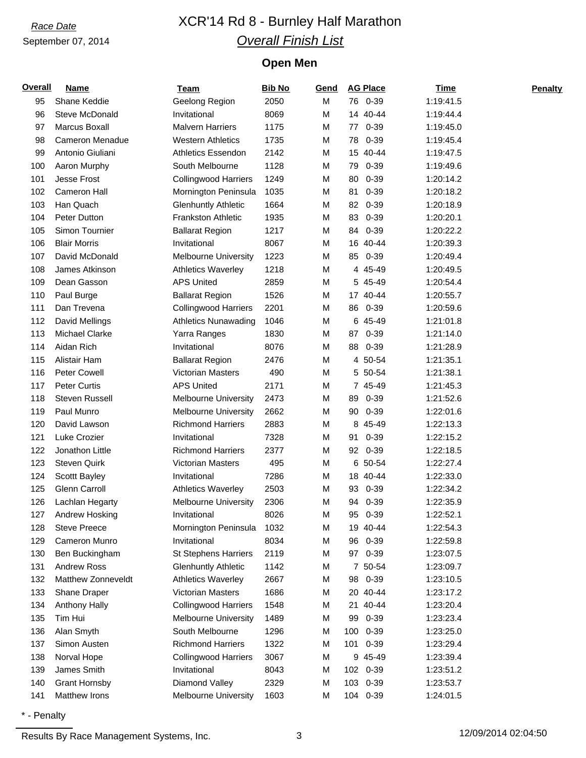# *Race Date* XCR'14 Rd 8 - Burnley Half Marathon *Overall Finish List*

## **Open Men**

| <b>Overall</b> | <b>Name</b>            | <b>Team</b>                 | <b>Bib No</b> | Gend | <b>AG Place</b> | <b>Time</b> | <b>Penalty</b> |
|----------------|------------------------|-----------------------------|---------------|------|-----------------|-------------|----------------|
| 95             | Shane Keddie           | Geelong Region              | 2050          | M    | 76 0-39         | 1:19:41.5   |                |
| 96             | Steve McDonald         | Invitational                | 8069          | M    | 14 40-44        | 1:19:44.4   |                |
| 97             | Marcus Boxall          | <b>Malvern Harriers</b>     | 1175          | M    | $0 - 39$<br>77  | 1:19:45.0   |                |
| 98             | <b>Cameron Menadue</b> | <b>Western Athletics</b>    | 1735          | M    | $0 - 39$<br>78  | 1:19:45.4   |                |
| 99             | Antonio Giuliani       | <b>Athletics Essendon</b>   | 2142          | M    | 15 40-44        | 1:19:47.5   |                |
| 100            | Aaron Murphy           | South Melbourne             | 1128          | M    | $0 - 39$<br>79  | 1:19:49.6   |                |
| 101            | <b>Jesse Frost</b>     | <b>Collingwood Harriers</b> | 1249          | M    | $0 - 39$<br>80  | 1:20:14.2   |                |
| 102            | <b>Cameron Hall</b>    | Mornington Peninsula        | 1035          | M    | $0 - 39$<br>81  | 1:20:18.2   |                |
| 103            | Han Quach              | <b>Glenhuntly Athletic</b>  | 1664          | M    | 82<br>$0 - 39$  | 1:20:18.9   |                |
| 104            | Peter Dutton           | <b>Frankston Athletic</b>   | 1935          | M    | 83<br>$0 - 39$  | 1:20:20.1   |                |
| 105            | Simon Tournier         | <b>Ballarat Region</b>      | 1217          | M    | $0 - 39$<br>84  | 1:20:22.2   |                |
| 106            | <b>Blair Morris</b>    | Invitational                | 8067          | M    | 16 40-44        | 1:20:39.3   |                |
| 107            | David McDonald         | <b>Melbourne University</b> | 1223          | M    | 85<br>$0 - 39$  | 1:20:49.4   |                |
| 108            | James Atkinson         | <b>Athletics Waverley</b>   | 1218          | M    | 4 45-49         | 1:20:49.5   |                |
| 109            | Dean Gasson            | <b>APS United</b>           | 2859          | M    | 5 45-49         | 1:20:54.4   |                |
| 110            | Paul Burge             | <b>Ballarat Region</b>      | 1526          | М    | 17 40-44        | 1:20:55.7   |                |
| 111            | Dan Trevena            | <b>Collingwood Harriers</b> | 2201          | M    | 86 0-39         | 1:20:59.6   |                |
| 112            | David Mellings         | <b>Athletics Nunawading</b> | 1046          | M    | 6 45-49         | 1:21:01.8   |                |
| 113            | Michael Clarke         | Yarra Ranges                | 1830          | M    | $0 - 39$<br>87  | 1:21:14.0   |                |
| 114            | Aidan Rich             | Invitational                | 8076          | М    | 88<br>$0 - 39$  | 1:21:28.9   |                |
| 115            | Alistair Ham           | <b>Ballarat Region</b>      | 2476          | M    | 4 50-54         | 1:21:35.1   |                |
| 116            | <b>Peter Cowell</b>    | Victorian Masters           | 490           | M    | 5 50-54         | 1:21:38.1   |                |
| 117            | <b>Peter Curtis</b>    | <b>APS United</b>           | 2171          | M    | 7 45-49         | 1:21:45.3   |                |
| 118            | <b>Steven Russell</b>  | <b>Melbourne University</b> | 2473          | М    | $0 - 39$<br>89  | 1:21:52.6   |                |
| 119            | Paul Munro             | Melbourne University        | 2662          | M    | $0 - 39$<br>90  | 1:22:01.6   |                |
| 120            | David Lawson           | <b>Richmond Harriers</b>    | 2883          | M    | 45-49<br>8      | 1:22:13.3   |                |
| 121            | Luke Crozier           | Invitational                | 7328          | M    | $0 - 39$<br>91  | 1:22:15.2   |                |
| 122            | Jonathon Little        | <b>Richmond Harriers</b>    | 2377          | M    | 92 0-39         | 1:22:18.5   |                |
| 123            | <b>Steven Quirk</b>    | Victorian Masters           | 495           | M    | 50-54<br>6      | 1:22:27.4   |                |
| 124            | Scottt Bayley          | Invitational                | 7286          | M    | 18 40-44        | 1:22:33.0   |                |
| 125            | <b>Glenn Carroll</b>   | <b>Athletics Waverley</b>   | 2503          | M    | 93<br>$0 - 39$  | 1:22:34.2   |                |
| 126            | Lachlan Hegarty        | <b>Melbourne University</b> | 2306          | М    | 94 0-39         | 1:22:35.9   |                |
| 127            | Andrew Hosking         | Invitational                | 8026          | M    | 95<br>$0 - 39$  | 1:22:52.1   |                |
| 128            | <b>Steve Preece</b>    | Mornington Peninsula        | 1032          | M    | 19 40-44        | 1:22:54.3   |                |
| 129            | Cameron Munro          | Invitational                | 8034          | М    | 96<br>$0 - 39$  | 1:22:59.8   |                |
| 130            | Ben Buckingham         | <b>St Stephens Harriers</b> | 2119          | М    | 97<br>$0 - 39$  | 1:23:07.5   |                |
| 131            | Andrew Ross            | <b>Glenhuntly Athletic</b>  | 1142          | М    | 7 50-54         | 1:23:09.7   |                |
| 132            | Matthew Zonneveldt     | <b>Athletics Waverley</b>   | 2667          | M    | 98 0-39         | 1:23:10.5   |                |
| 133            | Shane Draper           | <b>Victorian Masters</b>    | 1686          | М    | 20 40-44        | 1:23:17.2   |                |
| 134            | <b>Anthony Hally</b>   | <b>Collingwood Harriers</b> | 1548          | М    | 21 40-44        | 1:23:20.4   |                |
| 135            | Tim Hui                | <b>Melbourne University</b> | 1489          | М    | 99<br>$0 - 39$  | 1:23:23.4   |                |
| 136            | Alan Smyth             | South Melbourne             | 1296          | M    | 100<br>$0 - 39$ | 1:23:25.0   |                |
| 137            | Simon Austen           | <b>Richmond Harriers</b>    | 1322          | M    | $0 - 39$<br>101 | 1:23:29.4   |                |
| 138            | Norval Hope            | <b>Collingwood Harriers</b> | 3067          | M    | 9 45-49         | 1:23:39.4   |                |
| 139            | James Smith            | Invitational                | 8043          | M    | 102 0-39        | 1:23:51.2   |                |
| 140            | <b>Grant Hornsby</b>   | Diamond Valley              | 2329          | M    | 103<br>0-39     | 1:23:53.7   |                |
| 141            | Matthew Irons          | <b>Melbourne University</b> | 1603          | М    | 104 0-39        | 1:24:01.5   |                |

\* - Penalty

Results By Race Management Systems, Inc. 23 12/09/2014 02:04:50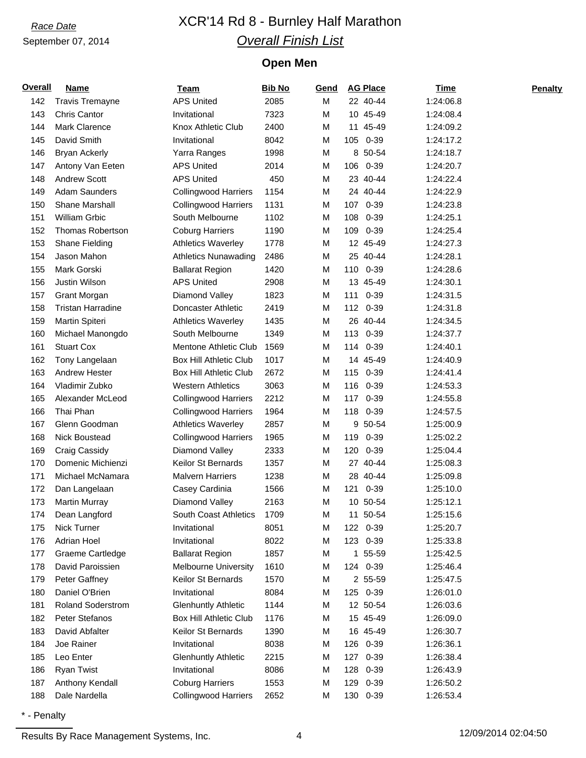# *Race Date* XCR'14 Rd 8 - Burnley Half Marathon *Overall Finish List*

## **Open Men**

| <b>Overall</b> | <b>Name</b>              | <b>Team</b>                   | <b>Bib No</b> | Gend | <b>AG Place</b> | <b>Time</b> | Penalty |
|----------------|--------------------------|-------------------------------|---------------|------|-----------------|-------------|---------|
| 142            | <b>Travis Tremayne</b>   | <b>APS United</b>             | 2085          | M    | 22 40-44        | 1:24:06.8   |         |
| 143            | <b>Chris Cantor</b>      | Invitational                  | 7323          | M    | 10 45-49        | 1:24:08.4   |         |
| 144            | <b>Mark Clarence</b>     | Knox Athletic Club            | 2400          | M    | 11 45-49        | 1:24:09.2   |         |
| 145            | David Smith              | Invitational                  | 8042          | M    | 105 0-39        | 1:24:17.2   |         |
| 146            | <b>Bryan Ackerly</b>     | Yarra Ranges                  | 1998          | M    | 8 50-54         | 1:24:18.7   |         |
| 147            | Antony Van Eeten         | <b>APS United</b>             | 2014          | M    | 106 0-39        | 1:24:20.7   |         |
| 148            | <b>Andrew Scott</b>      | <b>APS United</b>             | 450           | M    | 23 40-44        | 1:24:22.4   |         |
| 149            | <b>Adam Saunders</b>     | <b>Collingwood Harriers</b>   | 1154          | M    | 24 40-44        | 1:24:22.9   |         |
| 150            | Shane Marshall           | <b>Collingwood Harriers</b>   | 1131          | M    | 107 0-39        | 1:24:23.8   |         |
| 151            | William Grbic            | South Melbourne               | 1102          | M    | 108<br>$0 - 39$ | 1:24:25.1   |         |
| 152            | <b>Thomas Robertson</b>  | <b>Coburg Harriers</b>        | 1190          | M    | 109<br>$0 - 39$ | 1:24:25.4   |         |
| 153            | Shane Fielding           | <b>Athletics Waverley</b>     | 1778          | M    | 12 45-49        | 1:24:27.3   |         |
| 154            | Jason Mahon              | <b>Athletics Nunawading</b>   | 2486          | M    | 25 40-44        | 1:24:28.1   |         |
| 155            | Mark Gorski              | <b>Ballarat Region</b>        | 1420          | M    | 110 0-39        | 1:24:28.6   |         |
| 156            | Justin Wilson            | <b>APS United</b>             | 2908          | M    | 13 45-49        | 1:24:30.1   |         |
| 157            | <b>Grant Morgan</b>      | Diamond Valley                | 1823          | M    | $0 - 39$<br>111 | 1:24:31.5   |         |
| 158            | <b>Tristan Harradine</b> | Doncaster Athletic            | 2419          | M    | 112 0-39        | 1:24:31.8   |         |
| 159            | Martin Spiteri           | <b>Athletics Waverley</b>     | 1435          | M    | 26 40-44        | 1:24:34.5   |         |
| 160            | Michael Manongdo         | South Melbourne               | 1349          | M    | 113<br>0-39     | 1:24:37.7   |         |
| 161            | <b>Stuart Cox</b>        | Mentone Athletic Club         | 1569          | M    | 114 0-39        | 1:24:40.1   |         |
| 162            | Tony Langelaan           | <b>Box Hill Athletic Club</b> | 1017          | M    | 14 45-49        | 1:24:40.9   |         |
| 163            | <b>Andrew Hester</b>     | <b>Box Hill Athletic Club</b> | 2672          | M    | 115 0-39        | 1:24:41.4   |         |
| 164            | Vladimir Zubko           | <b>Western Athletics</b>      | 3063          | M    | 116<br>$0 - 39$ | 1:24:53.3   |         |
| 165            | Alexander McLeod         | <b>Collingwood Harriers</b>   | 2212          | M    | $0 - 39$<br>117 | 1:24:55.8   |         |
| 166            | Thai Phan                | <b>Collingwood Harriers</b>   | 1964          | M    | 118 0-39        | 1:24:57.5   |         |
| 167            | Glenn Goodman            | <b>Athletics Waverley</b>     | 2857          | M    | 9 50-54         | 1:25:00.9   |         |
| 168            | <b>Nick Boustead</b>     | <b>Collingwood Harriers</b>   | 1965          | M    | 119<br>$0 - 39$ | 1:25:02.2   |         |
| 169            | Craig Cassidy            | Diamond Valley                | 2333          | M    | $0 - 39$<br>120 | 1:25:04.4   |         |
| 170            | Domenic Michienzi        | Keilor St Bernards            | 1357          | M    | 27 40-44        | 1:25:08.3   |         |
| 171            | Michael McNamara         | <b>Malvern Harriers</b>       | 1238          | M    | 28 40-44        | 1:25:09.8   |         |
| 172            | Dan Langelaan            | Casey Cardinia                | 1566          | M    | $0 - 39$<br>121 | 1:25:10.0   |         |
| 173            | <b>Martin Murray</b>     | Diamond Valley                | 2163          | M    | 10 50-54        | 1:25:12.1   |         |
| 174            | Dean Langford            | South Coast Athletics         | 1709          | M    | 11 50-54        | 1:25:15.6   |         |
| 175            | Nick Turner              | Invitational                  | 8051          | M    | 122 0-39        | 1:25:20.7   |         |
| 176            | <b>Adrian Hoel</b>       | Invitational                  | 8022          | M    | 123 0-39        | 1:25:33.8   |         |
| 177            | Graeme Cartledge         | <b>Ballarat Region</b>        | 1857          | М    | 1 55-59         | 1:25:42.5   |         |
| 178            | David Paroissien         | <b>Melbourne University</b>   | 1610          | M    | 124 0-39        | 1:25:46.4   |         |
| 179            | Peter Gaffney            | Keilor St Bernards            | 1570          | M    | 2 55-59         | 1:25:47.5   |         |
| 180            | Daniel O'Brien           | Invitational                  | 8084          | M    | 125 0-39        | 1:26:01.0   |         |
| 181            | Roland Soderstrom        | <b>Glenhuntly Athletic</b>    | 1144          | M    | 12 50-54        | 1:26:03.6   |         |
| 182            | Peter Stefanos           | <b>Box Hill Athletic Club</b> | 1176          | М    | 15 45-49        | 1:26:09.0   |         |
| 183            | David Abfalter           | Keilor St Bernards            | 1390          | M    | 16 45-49        | 1:26:30.7   |         |
| 184            | Joe Rainer               | Invitational                  | 8038          | M    | 126<br>$0 - 39$ | 1:26:36.1   |         |
| 185            | Leo Enter                | <b>Glenhuntly Athletic</b>    | 2215          | M    | $0 - 39$<br>127 | 1:26:38.4   |         |
| 186            | Ryan Twist               | Invitational                  | 8086          | M    | 128 0-39        | 1:26:43.9   |         |
| 187            | Anthony Kendall          | <b>Coburg Harriers</b>        | 1553          | M    | $0 - 39$<br>129 | 1:26:50.2   |         |
| 188            | Dale Nardella            | <b>Collingwood Harriers</b>   | 2652          | M    | 130 0-39        | 1:26:53.4   |         |

\* - Penalty

Results By Race Management Systems, Inc. 4 12/09/2014 02:04:50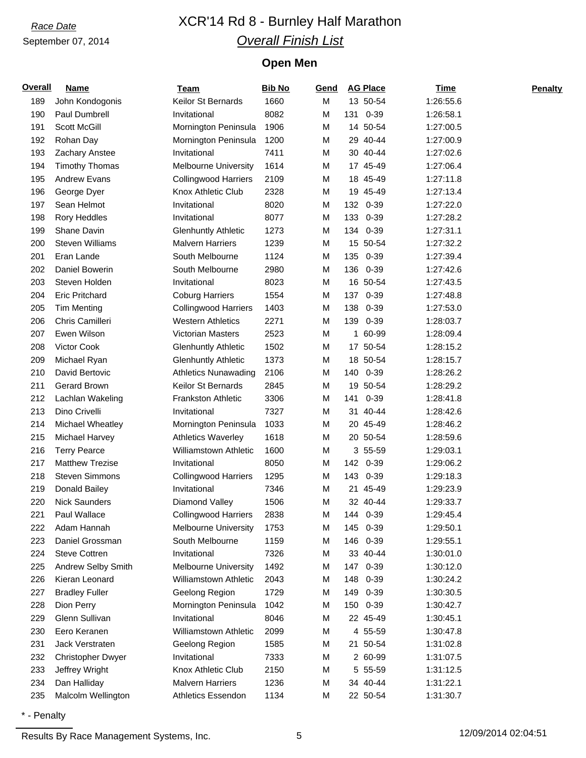# *Race Date* XCR'14 Rd 8 - Burnley Half Marathon *Overall Finish List*

## **Open Men**

| <b>Overall</b> | <b>Name</b>              | <b>Team</b>                  | <b>Bib No</b> | Gend |     | <b>AG Place</b> | <b>Time</b> | <b>Penalty</b> |
|----------------|--------------------------|------------------------------|---------------|------|-----|-----------------|-------------|----------------|
| 189            | John Kondogonis          | Keilor St Bernards           | 1660          | M    |     | 13 50-54        | 1:26:55.6   |                |
| 190            | Paul Dumbrell            | Invitational                 | 8082          | M    | 131 | $0 - 39$        | 1:26:58.1   |                |
| 191            | Scott McGill             | Mornington Peninsula         | 1906          | M    | 14  | 50-54           | 1:27:00.5   |                |
| 192            | Rohan Day                | Mornington Peninsula         | 1200          | M    |     | 29 40-44        | 1:27:00.9   |                |
| 193            | Zachary Anstee           | Invitational                 | 7411          | М    |     | 30 40-44        | 1:27:02.6   |                |
| 194            | <b>Timothy Thomas</b>    | <b>Melbourne University</b>  | 1614          | М    |     | 17 45-49        | 1:27:06.4   |                |
| 195            | Andrew Evans             | <b>Collingwood Harriers</b>  | 2109          | М    |     | 18 45-49        | 1:27:11.8   |                |
| 196            | George Dyer              | Knox Athletic Club           | 2328          | M    |     | 19 45-49        | 1:27:13.4   |                |
| 197            | Sean Helmot              | Invitational                 | 8020          | M    |     | 132 0-39        | 1:27:22.0   |                |
| 198            | <b>Rory Heddles</b>      | Invitational                 | 8077          | M    | 133 | $0 - 39$        | 1:27:28.2   |                |
| 199            | Shane Davin              | <b>Glenhuntly Athletic</b>   | 1273          | M    | 134 | $0 - 39$        | 1:27:31.1   |                |
| 200            | <b>Steven Williams</b>   | <b>Malvern Harriers</b>      | 1239          | M    |     | 15 50-54        | 1:27:32.2   |                |
| 201            | Eran Lande               | South Melbourne              | 1124          | M    |     | 135 0-39        | 1:27:39.4   |                |
| 202            | Daniel Bowerin           | South Melbourne              | 2980          | M    | 136 | $0 - 39$        | 1:27:42.6   |                |
| 203            | Steven Holden            | Invitational                 | 8023          | М    |     | 16 50-54        | 1:27:43.5   |                |
| 204            | <b>Eric Pritchard</b>    | <b>Coburg Harriers</b>       | 1554          | M    | 137 | $0 - 39$        | 1:27:48.8   |                |
| 205            | <b>Tim Menting</b>       | <b>Collingwood Harriers</b>  | 1403          | M    | 138 | $0 - 39$        | 1:27:53.0   |                |
| 206            | Chris Camilleri          | <b>Western Athletics</b>     | 2271          | M    | 139 | $0 - 39$        | 1:28:03.7   |                |
| 207            | Ewen Wilson              | <b>Victorian Masters</b>     | 2523          | M    | 1   | 60-99           | 1:28:09.4   |                |
| 208            | Victor Cook              | <b>Glenhuntly Athletic</b>   | 1502          | M    |     | 17 50-54        | 1:28:15.2   |                |
| 209            | Michael Ryan             | <b>Glenhuntly Athletic</b>   | 1373          | M    |     | 18 50-54        | 1:28:15.7   |                |
| 210            | David Bertovic           | <b>Athletics Nunawading</b>  | 2106          | M    | 140 | 0-39            | 1:28:26.2   |                |
| 211            | Gerard Brown             | Keilor St Bernards           | 2845          | M    |     | 19 50-54        | 1:28:29.2   |                |
| 212            | Lachlan Wakeling         | <b>Frankston Athletic</b>    | 3306          | M    | 141 | $0 - 39$        | 1:28:41.8   |                |
| 213            | Dino Crivelli            | Invitational                 | 7327          | М    |     | 31 40-44        | 1:28:42.6   |                |
| 214            | Michael Wheatley         | Mornington Peninsula         | 1033          | М    |     | 20 45-49        | 1:28:46.2   |                |
| 215            | Michael Harvey           | <b>Athletics Waverley</b>    | 1618          | M    |     | 20 50-54        | 1:28:59.6   |                |
| 216            | <b>Terry Pearce</b>      | <b>Williamstown Athletic</b> | 1600          | M    |     | 3 55-59         | 1:29:03.1   |                |
| 217            | <b>Matthew Trezise</b>   | Invitational                 | 8050          | M    |     | 142 0-39        | 1:29:06.2   |                |
| 218            | <b>Steven Simmons</b>    | <b>Collingwood Harriers</b>  | 1295          | M    | 143 | 0-39            | 1:29:18.3   |                |
| 219            | Donald Bailey            | Invitational                 | 7346          | M    | 21  | 45-49           | 1:29:23.9   |                |
| 220            | <b>Nick Saunders</b>     | Diamond Valley               | 1506          | M    |     | 32 40-44        | 1:29:33.7   |                |
| 221            | Paul Wallace             | <b>Collingwood Harriers</b>  | 2838          | M    | 144 | 0-39            | 1:29:45.4   |                |
| 222            | Adam Hannah              | <b>Melbourne University</b>  | 1753          | M    | 145 | $0 - 39$        | 1:29:50.1   |                |
| 223            | Daniel Grossman          | South Melbourne              | 1159          | M    |     | 146 0-39        | 1:29:55.1   |                |
| 224            | <b>Steve Cottren</b>     | Invitational                 | 7326          | М    |     | 33 40-44        | 1:30:01.0   |                |
| 225            | Andrew Selby Smith       | <b>Melbourne University</b>  | 1492          | M    |     | 147 0-39        | 1:30:12.0   |                |
| 226            | Kieran Leonard           | Williamstown Athletic        | 2043          | M    | 148 | $0 - 39$        | 1:30:24.2   |                |
| 227            | <b>Bradley Fuller</b>    | Geelong Region               | 1729          | M    | 149 | $0 - 39$        | 1:30:30.5   |                |
| 228            | Dion Perry               | Mornington Peninsula         | 1042          | M    |     | 150 0-39        | 1:30:42.7   |                |
| 229            | Glenn Sullivan           | Invitational                 | 8046          | М    |     | 22 45-49        | 1:30:45.1   |                |
| 230            | Eero Keranen             | <b>Williamstown Athletic</b> | 2099          | М    |     | 4 55-59         | 1:30:47.8   |                |
| 231            | Jack Verstraten          | Geelong Region               | 1585          | М    |     | 21 50-54        | 1:31:02.8   |                |
| 232            | <b>Christopher Dwyer</b> | Invitational                 | 7333          | М    |     | 2 60-99         | 1:31:07.5   |                |
| 233            | Jeffrey Wright           | Knox Athletic Club           | 2150          | М    |     | 5 55-59         | 1:31:12.5   |                |
| 234            | Dan Halliday             | <b>Malvern Harriers</b>      | 1236          | M    |     | 34 40-44        | 1:31:22.1   |                |
| 235            | Malcolm Wellington       | Athletics Essendon           | 1134          | М    |     | 22 50-54        | 1:31:30.7   |                |

\* - Penalty

Results By Race Management Systems, Inc. 6 12/09/2014 02:04:51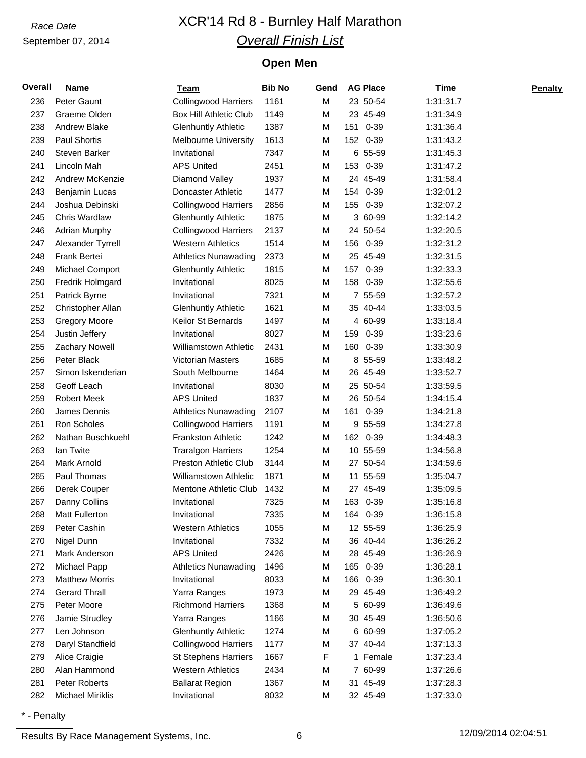# *Race Date* XCR'14 Rd 8 - Burnley Half Marathon *Overall Finish List*

## **Open Men**

| <b>Overall</b> | <b>Name</b>             | <b>Team</b>                   | <b>Bib No</b> | Gend |     | <b>AG Place</b> | Time      | <b>Penalty</b> |
|----------------|-------------------------|-------------------------------|---------------|------|-----|-----------------|-----------|----------------|
| 236            | Peter Gaunt             | <b>Collingwood Harriers</b>   | 1161          | M    |     | 23 50-54        | 1:31:31.7 |                |
| 237            | Graeme Olden            | <b>Box Hill Athletic Club</b> | 1149          | M    |     | 23 45-49        | 1:31:34.9 |                |
| 238            | Andrew Blake            | <b>Glenhuntly Athletic</b>    | 1387          | M    | 151 | 0-39            | 1:31:36.4 |                |
| 239            | Paul Shortis            | <b>Melbourne University</b>   | 1613          | M    |     | 152 0-39        | 1:31:43.2 |                |
| 240            | Steven Barker           | Invitational                  | 7347          | M    |     | 6 55-59         | 1:31:45.3 |                |
| 241            | Lincoln Mah             | <b>APS United</b>             | 2451          | M    |     | 153 0-39        | 1:31:47.2 |                |
| 242            | Andrew McKenzie         | Diamond Valley                | 1937          | M    |     | 24 45-49        | 1:31:58.4 |                |
| 243            | Benjamin Lucas          | Doncaster Athletic            | 1477          | M    |     | 154 0-39        | 1:32:01.2 |                |
| 244            | Joshua Debinski         | <b>Collingwood Harriers</b>   | 2856          | M    |     | 155 0-39        | 1:32:07.2 |                |
| 245            | Chris Wardlaw           | <b>Glenhuntly Athletic</b>    | 1875          | M    |     | 3 60-99         | 1:32:14.2 |                |
| 246            | <b>Adrian Murphy</b>    | <b>Collingwood Harriers</b>   | 2137          | M    |     | 24 50-54        | 1:32:20.5 |                |
| 247            | Alexander Tyrrell       | <b>Western Athletics</b>      | 1514          | M    |     | 156 0-39        | 1:32:31.2 |                |
| 248            | Frank Bertei            | <b>Athletics Nunawading</b>   | 2373          | M    |     | 25 45-49        | 1:32:31.5 |                |
| 249            | Michael Comport         | <b>Glenhuntly Athletic</b>    | 1815          | M    |     | 157 0-39        | 1:32:33.3 |                |
| 250            | Fredrik Holmgard        | Invitational                  | 8025          | M    | 158 | 0-39            | 1:32:55.6 |                |
| 251            | Patrick Byrne           | Invitational                  | 7321          | M    |     | 7 55-59         | 1:32:57.2 |                |
| 252            | Christopher Allan       | <b>Glenhuntly Athletic</b>    | 1621          | M    |     | 35 40-44        | 1:33:03.5 |                |
| 253            | <b>Gregory Moore</b>    | Keilor St Bernards            | 1497          | M    |     | 4 60-99         | 1:33:18.4 |                |
| 254            | Justin Jeffery          | Invitational                  | 8027          | M    | 159 | $0 - 39$        | 1:33:23.6 |                |
| 255            | Zachary Nowell          | <b>Williamstown Athletic</b>  | 2431          | M    |     | 160 0-39        | 1:33:30.9 |                |
| 256            | Peter Black             | Victorian Masters             | 1685          | M    |     | 8 55-59         | 1:33:48.2 |                |
| 257            | Simon Iskenderian       | South Melbourne               | 1464          | M    |     | 26 45-49        | 1:33:52.7 |                |
| 258            | Geoff Leach             | Invitational                  | 8030          | M    |     | 25 50-54        | 1:33:59.5 |                |
| 259            | <b>Robert Meek</b>      | <b>APS United</b>             | 1837          | M    |     | 26 50-54        | 1:34:15.4 |                |
| 260            | James Dennis            | <b>Athletics Nunawading</b>   | 2107          | M    |     | 161 0-39        | 1:34:21.8 |                |
| 261            | Ron Scholes             | <b>Collingwood Harriers</b>   | 1191          | M    |     | 9 55-59         | 1:34:27.8 |                |
| 262            | Nathan Buschkuehl       | <b>Frankston Athletic</b>     | 1242          | M    |     | 162 0-39        | 1:34:48.3 |                |
| 263            | lan Twite               | <b>Traralgon Harriers</b>     | 1254          | M    |     | 10 55-59        | 1:34:56.8 |                |
| 264            | Mark Arnold             | Preston Athletic Club         | 3144          | M    |     | 27 50-54        | 1:34:59.6 |                |
| 265            | Paul Thomas             | <b>Williamstown Athletic</b>  | 1871          | M    |     | 11 55-59        | 1:35:04.7 |                |
| 266            | Derek Couper            | Mentone Athletic Club         | 1432          | M    |     | 27 45-49        | 1:35:09.5 |                |
| 267            | Danny Collins           | Invitational                  | 7325          | M    |     | 163 0-39        | 1:35:16.8 |                |
| 268            | Matt Fullerton          | Invitational                  | 7335          | M    |     | 164 0-39        | 1:36:15.8 |                |
| 269            | Peter Cashin            | <b>Western Athletics</b>      | 1055          | M    |     | 12 55-59        | 1:36:25.9 |                |
| 270            | Nigel Dunn              | Invitational                  | 7332          | M    |     | 36 40-44        | 1:36:26.2 |                |
| 271            | Mark Anderson           | <b>APS United</b>             | 2426          | M    |     | 28 45-49        | 1:36:26.9 |                |
| 272            | Michael Papp            | <b>Athletics Nunawading</b>   | 1496          | M    |     | 165 0-39        | 1:36:28.1 |                |
| 273            | <b>Matthew Morris</b>   | Invitational                  | 8033          | M    |     | 166 0-39        | 1:36:30.1 |                |
| 274            | <b>Gerard Thrall</b>    | Yarra Ranges                  | 1973          | M    |     | 29 45-49        | 1:36:49.2 |                |
| 275            | Peter Moore             | <b>Richmond Harriers</b>      | 1368          | M    |     | 5 60-99         | 1:36:49.6 |                |
| 276            | Jamie Strudley          | Yarra Ranges                  | 1166          | M    |     | 30 45-49        | 1:36:50.6 |                |
| 277            | Len Johnson             | <b>Glenhuntly Athletic</b>    | 1274          | M    |     | 6 60-99         | 1:37:05.2 |                |
| 278            | Daryl Standfield        | <b>Collingwood Harriers</b>   | 1177          | M    |     | 37 40-44        | 1:37:13.3 |                |
| 279            | Alice Craigie           | <b>St Stephens Harriers</b>   | 1667          | F    |     | 1 Female        | 1:37:23.4 |                |
| 280            | Alan Hammond            | <b>Western Athletics</b>      | 2434          | M    |     | 7 60-99         | 1:37:26.6 |                |
| 281            | Peter Roberts           | <b>Ballarat Region</b>        | 1367          | M    |     | 31 45-49        | 1:37:28.3 |                |
| 282            | <b>Michael Miriklis</b> | Invitational                  | 8032          | M    |     | 32 45-49        | 1:37:33.0 |                |
|                |                         |                               |               |      |     |                 |           |                |

\* - Penalty

Results By Race Management Systems, Inc. 6 12/09/2014 02:04:51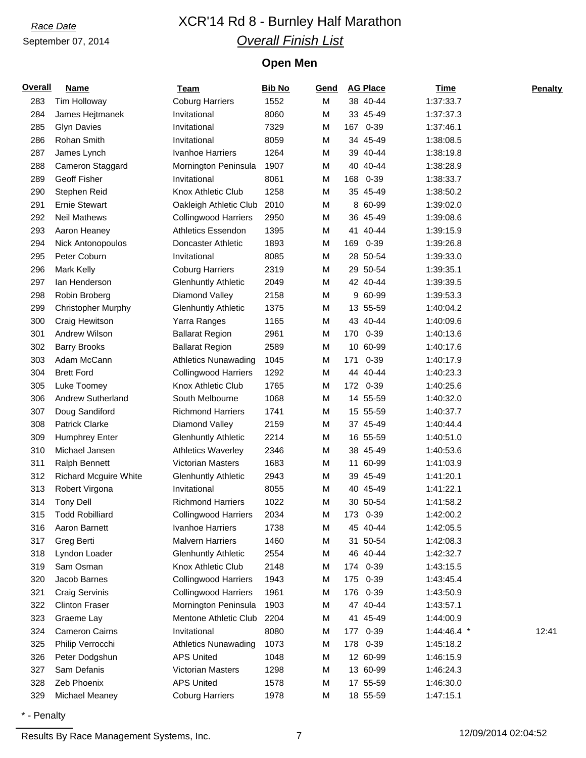# *Race Date* XCR'14 Rd 8 - Burnley Half Marathon *Overall Finish List*

## **Open Men**

| <b>Overall</b> | <b>Name</b>                  | Team                        | <b>Bib No</b> | Gend |     | <b>AG Place</b> | Time          | Penalty |
|----------------|------------------------------|-----------------------------|---------------|------|-----|-----------------|---------------|---------|
| 283            | Tim Holloway                 | <b>Coburg Harriers</b>      | 1552          | M    |     | 38 40-44        | 1:37:33.7     |         |
| 284            | James Hejtmanek              | Invitational                | 8060          | M    |     | 33 45-49        | 1:37:37.3     |         |
| 285            | <b>Glyn Davies</b>           | Invitational                | 7329          | M    | 167 | $0 - 39$        | 1:37:46.1     |         |
| 286            | Rohan Smith                  | Invitational                | 8059          | M    |     | 34 45-49        | 1:38:08.5     |         |
| 287            | James Lynch                  | Ivanhoe Harriers            | 1264          | M    |     | 39 40-44        | 1:38:19.8     |         |
| 288            | Cameron Staggard             | Mornington Peninsula        | 1907          | M    |     | 40 40 - 44      | 1:38:28.9     |         |
| 289            | Geoff Fisher                 | Invitational                | 8061          | M    | 168 | $0 - 39$        | 1:38:33.7     |         |
| 290            | Stephen Reid                 | Knox Athletic Club          | 1258          | M    |     | 35 45-49        | 1:38:50.2     |         |
| 291            | <b>Ernie Stewart</b>         | Oakleigh Athletic Club      | 2010          | M    |     | 8 60-99         | 1:39:02.0     |         |
| 292            | <b>Neil Mathews</b>          | <b>Collingwood Harriers</b> | 2950          | M    |     | 36 45-49        | 1:39:08.6     |         |
| 293            | Aaron Heaney                 | <b>Athletics Essendon</b>   | 1395          | M    | 41  | 40-44           | 1:39:15.9     |         |
| 294            | Nick Antonopoulos            | Doncaster Athletic          | 1893          | M    | 169 | $0 - 39$        | 1:39:26.8     |         |
| 295            | Peter Coburn                 | Invitational                | 8085          | M    |     | 28 50-54        | 1:39:33.0     |         |
| 296            | <b>Mark Kelly</b>            | <b>Coburg Harriers</b>      | 2319          | M    |     | 29 50-54        | 1:39:35.1     |         |
| 297            | lan Henderson                | <b>Glenhuntly Athletic</b>  | 2049          | M    |     | 42 40-44        | 1:39:39.5     |         |
| 298            | Robin Broberg                | Diamond Valley              | 2158          | M    |     | 9 60-99         | 1:39:53.3     |         |
| 299            | <b>Christopher Murphy</b>    | <b>Glenhuntly Athletic</b>  | 1375          | M    |     | 13 55-59        | 1:40:04.2     |         |
| 300            | Craig Hewitson               | Yarra Ranges                | 1165          | M    |     | 43 40-44        | 1:40:09.6     |         |
| 301            | <b>Andrew Wilson</b>         | <b>Ballarat Region</b>      | 2961          | M    | 170 | $0 - 39$        | 1:40:13.6     |         |
| 302            | <b>Barry Brooks</b>          | <b>Ballarat Region</b>      | 2589          | M    |     | 10 60-99        | 1:40:17.6     |         |
| 303            | Adam McCann                  | <b>Athletics Nunawading</b> | 1045          | M    | 171 | $0 - 39$        | 1:40:17.9     |         |
| 304            | <b>Brett Ford</b>            | <b>Collingwood Harriers</b> | 1292          | M    |     | 44 40-44        | 1:40:23.3     |         |
| 305            | Luke Toomey                  | Knox Athletic Club          | 1765          | M    | 172 | $0 - 39$        | 1:40:25.6     |         |
| 306            | <b>Andrew Sutherland</b>     | South Melbourne             | 1068          | M    |     | 14 55-59        | 1:40:32.0     |         |
| 307            | Doug Sandiford               | <b>Richmond Harriers</b>    | 1741          | M    |     | 15 55-59        | 1:40:37.7     |         |
| 308            | <b>Patrick Clarke</b>        | Diamond Valley              | 2159          | M    |     | 37 45-49        | 1:40:44.4     |         |
| 309            | <b>Humphrey Enter</b>        | <b>Glenhuntly Athletic</b>  | 2214          | M    |     | 16 55-59        | 1:40:51.0     |         |
| 310            | Michael Jansen               | <b>Athletics Waverley</b>   | 2346          | M    |     | 38 45-49        | 1:40:53.6     |         |
| 311            | Ralph Bennett                | Victorian Masters           | 1683          | M    |     | 11 60-99        | 1:41:03.9     |         |
| 312            | <b>Richard Mcguire White</b> | <b>Glenhuntly Athletic</b>  | 2943          | M    |     | 39 45-49        | 1:41:20.1     |         |
| 313            | Robert Virgona               | Invitational                | 8055          | M    |     | 40 45-49        | 1:41:22.1     |         |
| 314            | <b>Tony Dell</b>             | <b>Richmond Harriers</b>    | 1022          | M    |     | 30 50-54        | 1:41:58.2     |         |
| 315            | Todd Robilliard              | <b>Collingwood Harriers</b> | 2034          | M    |     | 173 0-39        | 1:42:00.2     |         |
| 316            | Aaron Barnett                | Ivanhoe Harriers            | 1738          | M    |     | 45 40-44        | 1:42:05.5     |         |
| 317            | Greg Berti                   | <b>Malvern Harriers</b>     | 1460          | M    |     | 31 50-54        | 1:42:08.3     |         |
| 318            | Lyndon Loader                | <b>Glenhuntly Athletic</b>  | 2554          | M    |     | 46 40-44        | 1:42:32.7     |         |
| 319            | Sam Osman                    | Knox Athletic Club          | 2148          | M    |     | 174 0-39        | 1:43:15.5     |         |
| 320            | Jacob Barnes                 | <b>Collingwood Harriers</b> | 1943          | M    |     | 175 0-39        | 1:43:45.4     |         |
| 321            | <b>Craig Servinis</b>        | <b>Collingwood Harriers</b> | 1961          | M    | 176 | $0 - 39$        | 1:43:50.9     |         |
| 322            | <b>Clinton Fraser</b>        | Mornington Peninsula        | 1903          | M    |     | 47 40-44        | 1:43:57.1     |         |
| 323            | Graeme Lay                   | Mentone Athletic Club       | 2204          | M    |     | 41 45-49        | 1:44:00.9     |         |
| 324            | <b>Cameron Cairns</b>        | Invitational                | 8080          | M    | 177 | 0-39            | $1:44:46.4$ * | 12:41   |
| 325            | Philip Verrocchi             | <b>Athletics Nunawading</b> | 1073          | M    |     | 178 0-39        | 1:45:18.2     |         |
| 326            | Peter Dodgshun               | <b>APS United</b>           | 1048          | M    |     | 12 60-99        | 1:46:15.9     |         |
| 327            | Sam Defanis                  | Victorian Masters           | 1298          | M    |     | 13 60-99        | 1:46:24.3     |         |
| 328            | Zeb Phoenix                  | <b>APS United</b>           | 1578          | M    |     | 17 55-59        | 1:46:30.0     |         |
| 329            | Michael Meaney               | <b>Coburg Harriers</b>      | 1978          | M    |     | 18 55-59        | 1:47:15.1     |         |

\* - Penalty

Results By Race Management Systems, Inc. 2008/2014 12/09/2014 12/09/2014 12:04:52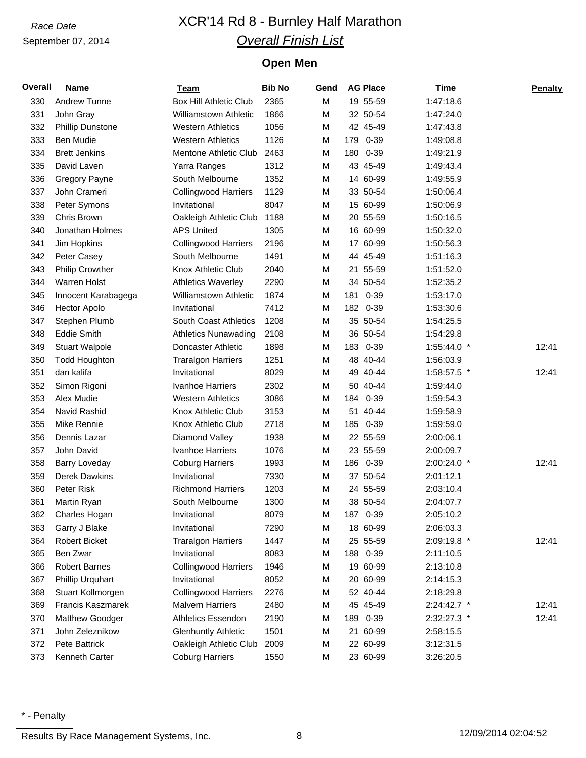# *Race Date* XCR'14 Rd 8 - Burnley Half Marathon *Overall Finish List*

## **Open Men**

| <b>Overall</b> | <b>Name</b>             | <b>Team</b>                   | <b>Bib No</b> | Gend |          | <b>AG Place</b> | <b>Time</b> | <b>Penalty</b> |
|----------------|-------------------------|-------------------------------|---------------|------|----------|-----------------|-------------|----------------|
| 330            | <b>Andrew Tunne</b>     | <b>Box Hill Athletic Club</b> | 2365          | M    |          | 19 55-59        | 1:47:18.6   |                |
| 331            | John Gray               | <b>Williamstown Athletic</b>  | 1866          | M    |          | 32 50-54        | 1:47:24.0   |                |
| 332            | <b>Phillip Dunstone</b> | <b>Western Athletics</b>      | 1056          | M    |          | 42 45-49        | 1:47:43.8   |                |
| 333            | <b>Ben Mudie</b>        | <b>Western Athletics</b>      | 1126          | M    | 179      | $0 - 39$        | 1:49:08.8   |                |
| 334            | <b>Brett Jenkins</b>    | Mentone Athletic Club         | 2463          | M    | 180      | $0 - 39$        | 1:49:21.9   |                |
| 335            | David Laven             | Yarra Ranges                  | 1312          | M    |          | 43 45-49        | 1:49:43.4   |                |
| 336            | Gregory Payne           | South Melbourne               | 1352          | М    |          | 14 60-99        | 1:49:55.9   |                |
| 337            | John Crameri            | <b>Collingwood Harriers</b>   | 1129          | М    |          | 33 50-54        | 1:50:06.4   |                |
| 338            | Peter Symons            | Invitational                  | 8047          | М    |          | 15 60-99        | 1:50:06.9   |                |
| 339            | Chris Brown             | Oakleigh Athletic Club        | 1188          | M    |          | 20 55-59        | 1:50:16.5   |                |
| 340            | Jonathan Holmes         | <b>APS United</b>             | 1305          | М    |          | 16 60-99        | 1:50:32.0   |                |
| 341            | Jim Hopkins             | <b>Collingwood Harriers</b>   | 2196          | M    |          | 17 60-99        | 1:50:56.3   |                |
| 342            | Peter Casey             | South Melbourne               | 1491          | М    |          | 44 45-49        | 1:51:16.3   |                |
| 343            | <b>Philip Crowther</b>  | Knox Athletic Club            | 2040          | М    |          | 21 55-59        | 1:51:52.0   |                |
| 344            | Warren Holst            | <b>Athletics Waverley</b>     | 2290          | М    |          | 34 50-54        | 1:52:35.2   |                |
| 345            | Innocent Karabagega     | <b>Williamstown Athletic</b>  | 1874          | M    | 181      | $0 - 39$        | 1:53:17.0   |                |
| 346            | <b>Hector Apolo</b>     | Invitational                  | 7412          | M    |          | 182 0-39        | 1:53:30.6   |                |
| 347            | Stephen Plumb           | South Coast Athletics         | 1208          | M    |          | 35 50-54        | 1:54:25.5   |                |
| 348            | <b>Eddie Smith</b>      | <b>Athletics Nunawading</b>   | 2108          | M    |          | 36 50-54        | 1:54:29.8   |                |
| 349            | <b>Stuart Walpole</b>   | Doncaster Athletic            | 1898          | M    | 183      | $0 - 39$        | 1:55:44.0 * | 12:41          |
| 350            | <b>Todd Houghton</b>    | <b>Traralgon Harriers</b>     | 1251          | М    |          | 48 40-44        | 1:56:03.9   |                |
| 351            | dan kalifa              | Invitational                  | 8029          | M    |          | 49 40-44        | 1:58:57.5 * | 12:41          |
| 352            | Simon Rigoni            | Ivanhoe Harriers              | 2302          | M    |          | 50 40-44        | 1:59:44.0   |                |
| 353            | Alex Mudie              | <b>Western Athletics</b>      | 3086          | M    | 184      | $0 - 39$        | 1:59:54.3   |                |
| 354            | Navid Rashid            | Knox Athletic Club            | 3153          | М    |          | 51 40-44        | 1:59:58.9   |                |
| 355            | Mike Rennie             | Knox Athletic Club            | 2718          | M    | 185      | $0 - 39$        | 1:59:59.0   |                |
| 356            | Dennis Lazar            | Diamond Valley                | 1938          | M    |          | 22 55-59        | 2:00:06.1   |                |
| 357            | John David              | Ivanhoe Harriers              | 1076          | M    |          | 23 55-59        | 2:00:09.7   |                |
| 358            | <b>Barry Loveday</b>    | <b>Coburg Harriers</b>        | 1993          | M    | 186 0-39 |                 | 2:00:24.0 * | 12:41          |
| 359            | <b>Derek Dawkins</b>    | Invitational                  | 7330          | M    |          | 37 50-54        | 2:01:12.1   |                |
| 360            | Peter Risk              | <b>Richmond Harriers</b>      | 1203          | M    |          | 24 55-59        | 2:03:10.4   |                |
| 361            | Martin Ryan             | South Melbourne               | 1300          | М    |          | 38 50-54        | 2:04:07.7   |                |
| 362            | Charles Hogan           | Invitational                  | 8079          | M    | 187 0-39 |                 | 2:05:10.2   |                |
| 363            | Garry J Blake           | Invitational                  | 7290          | М    |          | 18 60-99        | 2:06:03.3   |                |
| 364            | <b>Robert Bicket</b>    | <b>Traralgon Harriers</b>     | 1447          | M    |          | 25 55-59        | 2:09:19.8 * | 12:41          |
| 365            | Ben Zwar                | Invitational                  | 8083          | M    |          | 188 0-39        | 2:11:10.5   |                |
| 366            | <b>Robert Barnes</b>    | <b>Collingwood Harriers</b>   | 1946          | M    |          | 19 60-99        | 2:13:10.8   |                |
| 367            | Phillip Urquhart        | Invitational                  | 8052          | М    |          | 20 60-99        | 2:14:15.3   |                |
| 368            | Stuart Kollmorgen       | <b>Collingwood Harriers</b>   | 2276          | M    |          | 52 40-44        | 2:18:29.8   |                |
| 369            | Francis Kaszmarek       | <b>Malvern Harriers</b>       | 2480          | M    |          | 45 45-49        | 2:24:42.7 * | 12:41          |
| 370            | Matthew Goodger         | Athletics Essendon            | 2190          | M    |          | 189 0-39        | 2:32:27.3 * | 12:41          |
| 371            | John Zeleznikow         | <b>Glenhuntly Athletic</b>    | 1501          | М    |          | 21 60-99        | 2:58:15.5   |                |
| 372            | Pete Battrick           | Oakleigh Athletic Club        | 2009          | M    |          | 22 60-99        | 3:12:31.5   |                |
| 373            | Kenneth Carter          | <b>Coburg Harriers</b>        | 1550          | М    |          | 23 60-99        | 3:26:20.5   |                |

\* - Penalty

Results By Race Management Systems, Inc. 28 12/09/2014 02:04:52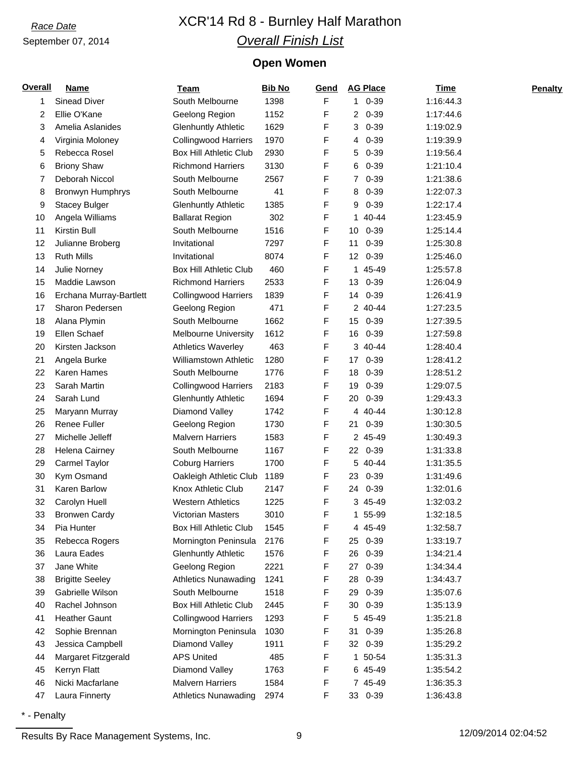# *Race Date* XCR'14 Rd 8 - Burnley Half Marathon *Overall Finish List*

## **Open Women**

| <b>Overall</b> | <b>Name</b>             | <b>Team</b>                   | <b>Bib No</b> | Gend | <b>AG Place</b>              | <b>Time</b> | <b>Penalty</b> |
|----------------|-------------------------|-------------------------------|---------------|------|------------------------------|-------------|----------------|
| 1              | Sinead Diver            | South Melbourne               | 1398          | F    | $10-39$                      | 1:16:44.3   |                |
| 2              | Ellie O'Kane            | Geelong Region                | 1152          | F    | $0 - 39$<br>2                | 1:17:44.6   |                |
| 3              | Amelia Aslanides        | <b>Glenhuntly Athletic</b>    | 1629          | F    | $0 - 39$<br>3                | 1:19:02.9   |                |
| 4              | Virginia Moloney        | <b>Collingwood Harriers</b>   | 1970          | F    | $0 - 39$<br>4                | 1:19:39.9   |                |
| 5              | Rebecca Rosel           | <b>Box Hill Athletic Club</b> | 2930          | F    | $0 - 39$<br>5                | 1:19:56.4   |                |
| 6              | <b>Briony Shaw</b>      | <b>Richmond Harriers</b>      | 3130          | F    | $0 - 39$<br>6                | 1:21:10.4   |                |
| 7              | Deborah Niccol          | South Melbourne               | 2567          | F    | 7<br>$0 - 39$                | 1:21:38.6   |                |
| 8              | Bronwyn Humphrys        | South Melbourne               | 41            | F    | 8<br>$0 - 39$                | 1:22:07.3   |                |
| 9              | <b>Stacey Bulger</b>    | <b>Glenhuntly Athletic</b>    | 1385          | F    | 0-39<br>9                    | 1:22:17.4   |                |
| 10             | Angela Williams         | <b>Ballarat Region</b>        | 302           | F    | 40-44<br>1                   | 1:23:45.9   |                |
| 11             | Kirstin Bull            | South Melbourne               | 1516          | F    | $0 - 39$<br>10               | 1:25:14.4   |                |
| 12             | Julianne Broberg        | Invitational                  | 7297          | F    | $0 - 39$<br>11               | 1:25:30.8   |                |
| 13             | <b>Ruth Mills</b>       | Invitational                  | 8074          | F    | 12 <sup>7</sup><br>$0 - 39$  | 1:25:46.0   |                |
| 14             | Julie Norney            | <b>Box Hill Athletic Club</b> | 460           | F    | 45-49<br>1                   | 1:25:57.8   |                |
| 15             | Maddie Lawson           | <b>Richmond Harriers</b>      | 2533          | F    | 13<br>$0 - 39$               | 1:26:04.9   |                |
| 16             | Erchana Murray-Bartlett | <b>Collingwood Harriers</b>   | 1839          | F    | 14 0-39                      | 1:26:41.9   |                |
| 17             | Sharon Pedersen         | Geelong Region                | 471           | F    | 2 40-44                      | 1:27:23.5   |                |
| 18             | Alana Plymin            | South Melbourne               | 1662          | F    | $0 - 39$<br>15 <sup>15</sup> | 1:27:39.5   |                |
| 19             | Ellen Schaef            | <b>Melbourne University</b>   | 1612          | F    | $0 - 39$<br>16               | 1:27:59.8   |                |
| 20             | Kirsten Jackson         | <b>Athletics Waverley</b>     | 463           | F    | 3 40-44                      | 1:28:40.4   |                |
| 21             | Angela Burke            | <b>Williamstown Athletic</b>  | 1280          | F    | $0 - 39$<br>17 <sup>1</sup>  | 1:28:41.2   |                |
| 22             | Karen Hames             | South Melbourne               | 1776          | F    | 18<br>$0 - 39$               | 1:28:51.2   |                |
| 23             | Sarah Martin            | <b>Collingwood Harriers</b>   | 2183          | F    | 19<br>$0 - 39$               | 1:29:07.5   |                |
| 24             | Sarah Lund              | <b>Glenhuntly Athletic</b>    | 1694          | F    | $0 - 39$<br>20               | 1:29:43.3   |                |
| 25             | Maryann Murray          | Diamond Valley                | 1742          | F    | 4 40-44                      | 1:30:12.8   |                |
| 26             | Renee Fuller            | Geelong Region                | 1730          | F    | $0 - 39$<br>21               | 1:30:30.5   |                |
| 27             | Michelle Jelleff        | <b>Malvern Harriers</b>       | 1583          | F    | 2 45-49                      | 1:30:49.3   |                |
| 28             | <b>Helena Cairney</b>   | South Melbourne               | 1167          | F    | 22 0-39                      | 1:31:33.8   |                |
| 29             | Carmel Taylor           | <b>Coburg Harriers</b>        | 1700          | F    | 5 40-44                      | 1:31:35.5   |                |
| 30             | Kym Osmand              | Oakleigh Athletic Club        | 1189          | F    | $0 - 39$<br>23               | 1:31:49.6   |                |
| 31             | Karen Barlow            | Knox Athletic Club            | 2147          | F    | $0 - 39$<br>24               | 1:32:01.6   |                |
| 32             | Carolyn Huell           | <b>Western Athletics</b>      | 1225          | F    | 3 45-49                      | 1:32:03.2   |                |
| 33             | <b>Bronwen Cardy</b>    | Victorian Masters             | 3010          | F    | $\mathbf{1}$<br>55-99        | 1:32:18.5   |                |
| 34             | Pia Hunter              | <b>Box Hill Athletic Club</b> | 1545          | F    | 4 45-49                      | 1:32:58.7   |                |
| 35             | Rebecca Rogers          | Mornington Peninsula          | 2176          | F    | $0 - 39$<br>25               | 1:33:19.7   |                |
| 36             | Laura Eades             | <b>Glenhuntly Athletic</b>    | 1576          | F    | $0 - 39$<br>26               | 1:34:21.4   |                |
| 37             | Jane White              | Geelong Region                | 2221          | F    | $0 - 39$<br>27               | 1:34:34.4   |                |
| 38             | <b>Brigitte Seeley</b>  | <b>Athletics Nunawading</b>   | 1241          | F    | $0 - 39$<br>28               | 1:34:43.7   |                |
| 39             | Gabrielle Wilson        | South Melbourne               | 1518          | F    | $0 - 39$<br>29               | 1:35:07.6   |                |
| 40             | Rachel Johnson          | <b>Box Hill Athletic Club</b> | 2445          | F    | $0 - 39$<br>30               | 1:35:13.9   |                |
| 41             | <b>Heather Gaunt</b>    | <b>Collingwood Harriers</b>   | 1293          | F    | 5 45-49                      | 1:35:21.8   |                |
| 42             | Sophie Brennan          | Mornington Peninsula          | 1030          | F    | $0 - 39$<br>31               | 1:35:26.8   |                |
| 43             | Jessica Campbell        | Diamond Valley                | 1911          | F    | $0 - 39$<br>32               | 1:35:29.2   |                |
| 44             | Margaret Fitzgerald     | <b>APS United</b>             | 485           | F    | 1 50-54                      | 1:35:31.3   |                |
| 45             | Kerryn Flatt            | Diamond Valley                | 1763          | F    | 6 45-49                      | 1:35:54.2   |                |
| 46             | Nicki Macfarlane        | <b>Malvern Harriers</b>       | 1584          | F    | 7 45-49                      | 1:36:35.3   |                |
| 47             | Laura Finnerty          | <b>Athletics Nunawading</b>   | 2974          | F    | 33 0-39                      | 1:36:43.8   |                |

\* - Penalty

Results By Race Management Systems, Inc. 2009 9 12/09/2014 02:04:52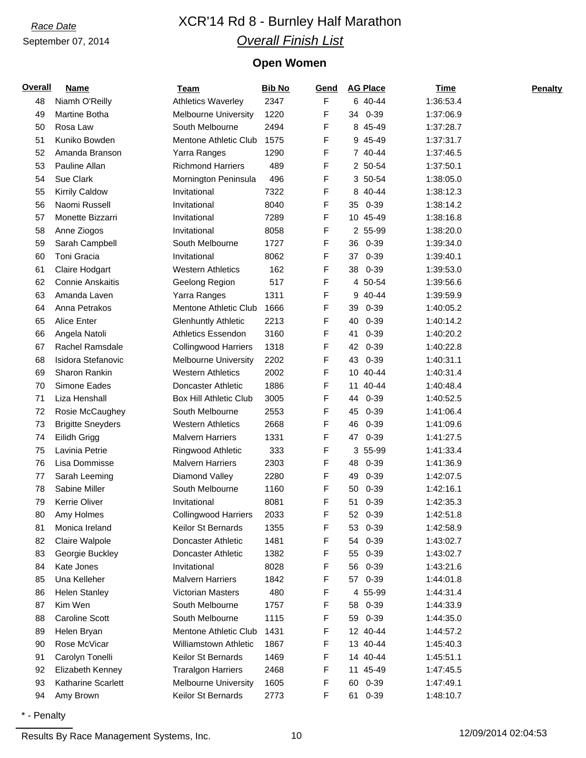# *Race Date* XCR'14 Rd 8 - Burnley Half Marathon *Overall Finish List*

## **Open Women**

| <b>Overall</b> | <b>Name</b>               | <b>Team</b>                   | <b>Bib No</b> | Gend | <b>AG Place</b> | <b>Time</b> | <b>Penalty</b> |
|----------------|---------------------------|-------------------------------|---------------|------|-----------------|-------------|----------------|
| 48             | Niamh O'Reilly            | <b>Athletics Waverley</b>     | 2347          | F    | 6 40-44         | 1:36:53.4   |                |
| 49             | Martine Botha             | <b>Melbourne University</b>   | 1220          | F    | 34 0-39         | 1:37:06.9   |                |
| 50             | Rosa Law                  | South Melbourne               | 2494          | F    | 8 45-49         | 1:37:28.7   |                |
| 51             | Kuniko Bowden             | Mentone Athletic Club         | 1575          | F    | 9 45-49         | 1:37:31.7   |                |
| 52             | Amanda Branson            | Yarra Ranges                  | 1290          | F    | 7 40-44         | 1:37:46.5   |                |
| 53             | Pauline Allan             | <b>Richmond Harriers</b>      | 489           | F    | 2 50-54         | 1:37:50.1   |                |
| 54             | Sue Clark                 | Mornington Peninsula          | 496           | F    | 3 50-54         | 1:38:05.0   |                |
| 55             | <b>Kirrily Caldow</b>     | Invitational                  | 7322          | F    | 8 40-44         | 1:38:12.3   |                |
| 56             | Naomi Russell             | Invitational                  | 8040          | F    | 35 0-39         | 1:38:14.2   |                |
| 57             | Monette Bizzarri          | Invitational                  | 7289          | F    | 10 45-49        | 1:38:16.8   |                |
| 58             | Anne Ziogos               | Invitational                  | 8058          | F    | 2 55-99         | 1:38:20.0   |                |
| 59             | Sarah Campbell            | South Melbourne               | 1727          | F    | 0-39<br>36      | 1:39:34.0   |                |
| 60             | Toni Gracia               | Invitational                  | 8062          | F    | $0 - 39$<br>37  | 1:39:40.1   |                |
| 61             | Claire Hodgart            | <b>Western Athletics</b>      | 162           | F    | $0 - 39$<br>38  | 1:39:53.0   |                |
| 62             | <b>Connie Anskaitis</b>   | Geelong Region                | 517           | F    | 4 50-54         | 1:39:56.6   |                |
| 63             | Amanda Laven              | Yarra Ranges                  | 1311          | F    | 9 40-44         | 1:39:59.9   |                |
| 64             | Anna Petrakos             | Mentone Athletic Club         | 1666          | F    | $0 - 39$<br>39  | 1:40:05.2   |                |
| 65             | <b>Alice Enter</b>        | <b>Glenhuntly Athletic</b>    | 2213          | F    | 40<br>$0 - 39$  | 1:40:14.2   |                |
| 66             | Angela Natoli             | <b>Athletics Essendon</b>     | 3160          | F    | 41<br>$0 - 39$  | 1:40:20.2   |                |
| 67             | Rachel Ramsdale           | <b>Collingwood Harriers</b>   | 1318          | F    | 42 0-39         | 1:40:22.8   |                |
| 68             | Isidora Stefanovic        | <b>Melbourne University</b>   | 2202          | F    | 43 0-39         | 1:40:31.1   |                |
| 69             | Sharon Rankin             | <b>Western Athletics</b>      | 2002          | F    | 10 40-44        | 1:40:31.4   |                |
| 70             | Simone Eades              | Doncaster Athletic            | 1886          | F    | 40-44<br>11     | 1:40:48.4   |                |
| 71             | Liza Henshall             | <b>Box Hill Athletic Club</b> | 3005          | F    | 44 0-39         | 1:40:52.5   |                |
| 72             | Rosie McCaughey           | South Melbourne               | 2553          | F    | $0 - 39$<br>45  | 1:41:06.4   |                |
| 73             | <b>Brigitte Sneyders</b>  | <b>Western Athletics</b>      | 2668          | F    | 46<br>$0 - 39$  | 1:41:09.6   |                |
| 74             | Eilidh Grigg              | <b>Malvern Harriers</b>       | 1331          | F    | $0 - 39$<br>47  | 1:41:27.5   |                |
| 75             | Lavinia Petrie            | Ringwood Athletic             | 333           | F    | 3 55-99         | 1:41:33.4   |                |
| 76             | Lisa Dommisse             | <b>Malvern Harriers</b>       | 2303          | F    | $0 - 39$<br>48  | 1:41:36.9   |                |
| 77             | Sarah Leeming             | Diamond Valley                | 2280          | F    | 49<br>$0 - 39$  | 1:42:07.5   |                |
| 78             | Sabine Miller             | South Melbourne               | 1160          | F    | $0 - 39$<br>50  | 1:42:16.1   |                |
| 79             | Kerrie Oliver             | Invitational                  | 8081          | F    | 51<br>$0 - 39$  | 1:42:35.3   |                |
| 80             | Amy Holmes                | <b>Collingwood Harriers</b>   | 2033          | ۳    | $0 - 39$<br>52  | 1:42:51.8   |                |
| 81             | Monica Ireland            | Keilor St Bernards            | 1355          | F    | 0-39<br>53      | 1:42:58.9   |                |
| 82             | Claire Walpole            | Doncaster Athletic            | 1481          | F    | $0 - 39$<br>54  | 1:43:02.7   |                |
| 83             | Georgie Buckley           | Doncaster Athletic            | 1382          | F    | 55<br>0-39      | 1:43:02.7   |                |
| 84             | Kate Jones                | Invitational                  | 8028          | F    | 56 0-39         | 1:43:21.6   |                |
| 85             | Una Kelleher              | <b>Malvern Harriers</b>       | 1842          | F    | 57 0-39         | 1:44:01.8   |                |
| 86             | <b>Helen Stanley</b>      | Victorian Masters             | 480           | F    | 4 55-99         | 1:44:31.4   |                |
| 87             | Kim Wen                   | South Melbourne               | 1757          | F    | 58 0-39         | 1:44:33.9   |                |
| 88             | <b>Caroline Scott</b>     | South Melbourne               | 1115          | F    | $0 - 39$<br>59  | 1:44:35.0   |                |
| 89             | Helen Bryan               | Mentone Athletic Club         | 1431          | F    | 12 40-44        | 1:44:57.2   |                |
| 90             | Rose McVicar              | Williamstown Athletic         | 1867          | F    | 13 40-44        | 1:45:40.3   |                |
| 91             | Carolyn Tonelli           | Keilor St Bernards            | 1469          | F    | 14 40-44        | 1:45:51.1   |                |
| 92             | Elizabeth Kenney          | <b>Traralgon Harriers</b>     | 2468          | F    | 11 45-49        | 1:47:45.5   |                |
| 93             | <b>Katharine Scarlett</b> | <b>Melbourne University</b>   | 1605          | F    | 60 0-39         | 1:47:49.1   |                |
| 94             | Amy Brown                 | Keilor St Bernards            | 2773          | F    | $0 - 39$<br>61  | 1:48:10.7   |                |

\* - Penalty

Results By Race Management Systems, Inc. 10 12/09/2014 02:04:53